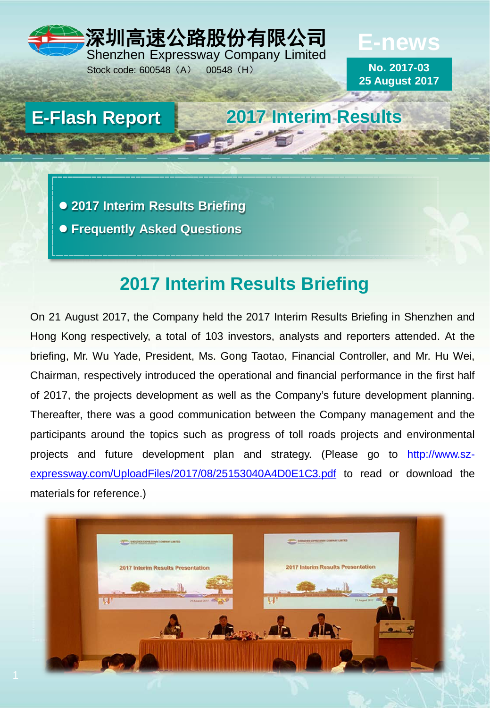## 深圳高速公路股份有限公司 Shenzhen Expressway Company Limited

Stock code: 600548 (A) 00548 (H)

**No. 2017-03 25 August 2017**

**E-news**

**E-Flash Report 2017 Interim Results**

 **2017 Interim Results Briefing Frequently Asked Questions**

# **2017 Interim Results Briefing**

On 21 August 2017, the Company held the 2017 Interim Results Briefing in Shenzhen and Hong Kong respectively, a total of 103 investors, analysts and reporters attended. At the briefing, Mr. Wu Yade, President, Ms. Gong Taotao, Financial Controller, and Mr. Hu Wei, Chairman, respectively introduced the operational and financial performance in the first half of 2017, the projects development as well as the Company's future development planning. Thereafter, there was a good communication between the Company management and the participants around the topics such as progress of toll roads projects and environmental projects and future development plan and strategy. (Please go to http://www.sz[expressway.com/UploadFiles/2017/08/25153040A4D0E1C3.pdf](http://www.sz-expressway.com/UploadFiles/2017/08/25153040A4D0E1C3.pdf) to read or download the materials for reference.)

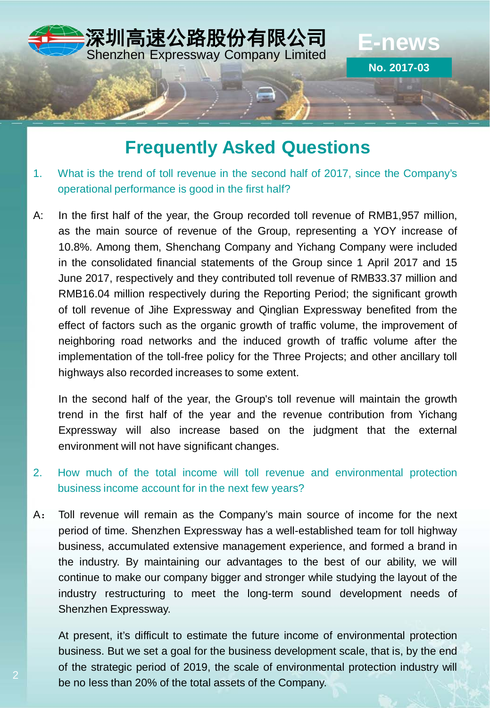

# **Frequently Asked Questions**

- 1. What is the trend of toll revenue in the second half of 2017, since the Company's operational performance is good in the first half?
- A: In the first half of the year, the Group recorded toll revenue of RMB1,957 million, as the main source of revenue of the Group, representing a YOY increase of 10.8%. Among them, Shenchang Company and Yichang Company were included in the consolidated financial statements of the Group since 1 April 2017 and 15 June 2017, respectively and they contributed toll revenue of RMB33.37 million and RMB16.04 million respectively during the Reporting Period; the significant growth of toll revenue of Jihe Expressway and Qinglian Expressway benefited from the effect of factors such as the organic growth of traffic volume, the improvement of neighboring road networks and the induced growth of traffic volume after the implementation of the toll-free policy for the Three Projects; and other ancillary toll highways also recorded increases to some extent.

In the second half of the year, the Group's toll revenue will maintain the growth trend in the first half of the year and the revenue contribution from Yichang Expressway will also increase based on the judgment that the external environment will not have significant changes.

## 2. How much of the total income will toll revenue and environmental protection business income account for in the next few years?

A: Toll revenue will remain as the Company's main source of income for the next period of time. Shenzhen Expressway has a well-established team for toll highway business, accumulated extensive management experience, and formed a brand in the industry. By maintaining our advantages to the best of our ability, we will continue to make our company bigger and stronger while studying the layout of the industry restructuring to meet the long-term sound development needs of Shenzhen Expressway.

At present, it's difficult to estimate the future income of environmental protection business. But we set a goal for the business development scale, that is, by the end of the strategic period of 2019, the scale of environmental protection industry will be no less than 20% of the total assets of the Company.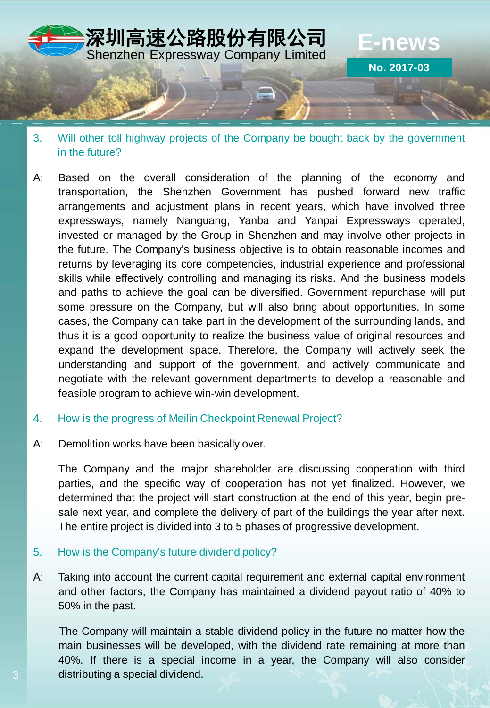

- 3. Will other toll highway projects of the Company be bought back by the government in the future?
- A: Based on the overall consideration of the planning of the economy and transportation, the Shenzhen Government has pushed forward new traffic arrangements and adjustment plans in recent years, which have involved three expressways, namely Nanguang, Yanba and Yanpai Expressways operated, invested or managed by the Group in Shenzhen and may involve other projects in the future. The Company's business objective is to obtain reasonable incomes and returns by leveraging its core competencies, industrial experience and professional skills while effectively controlling and managing its risks. And the business models and paths to achieve the goal can be diversified. Government repurchase will put some pressure on the Company, but will also bring about opportunities. In some cases, the Company can take part in the development of the surrounding lands, and thus it is a good opportunity to realize the business value of original resources and expand the development space. Therefore, the Company will actively seek the understanding and support of the government, and actively communicate and negotiate with the relevant government departments to develop a reasonable and feasible program to achieve win-win development.

## 4. How is the progress of Meilin Checkpoint Renewal Project?

A: Demolition works have been basically over.

The Company and the major shareholder are discussing cooperation with third parties, and the specific way of cooperation has not yet finalized. However, we determined that the project will start construction at the end of this year, begin presale next year, and complete the delivery of part of the buildings the year after next. The entire project is divided into 3 to 5 phases of progressive development.

## 5. How is the Company's future dividend policy?

A: Taking into account the current capital requirement and external capital environment and other factors, the Company has maintained a dividend payout ratio of 40% to 50% in the past.

The Company will maintain a stable dividend policy in the future no matter how the main businesses will be developed, with the dividend rate remaining at more than 40%. If there is a special income in a year, the Company will also consider distributing a special dividend.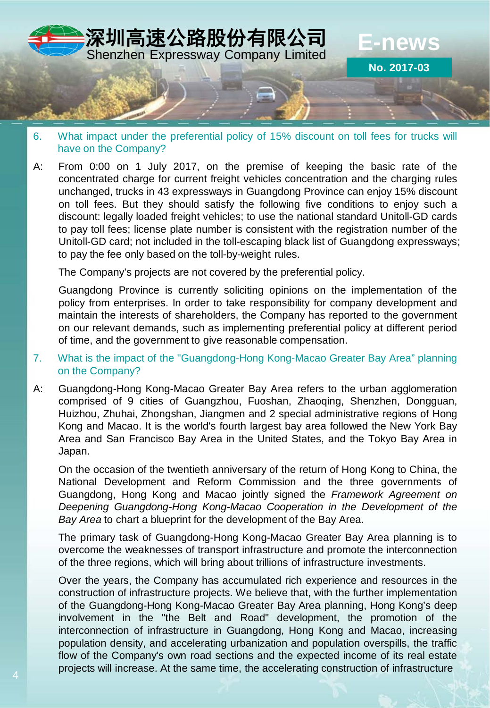

- 6. What impact under the preferential policy of 15% discount on toll fees for trucks will have on the Company?
- A: From 0:00 on 1 July 2017, on the premise of keeping the basic rate of the concentrated charge for current freight vehicles concentration and the charging rules unchanged, trucks in 43 expressways in Guangdong Province can enjoy 15% discount on toll fees. But they should satisfy the following five conditions to enjoy such a discount: legally loaded freight vehicles; to use the national standard Unitoll-GD cards to pay toll fees; license plate number is consistent with the registration number of the Unitoll-GD card; not included in the toll-escaping black list of Guangdong expressways; to pay the fee only based on the toll-by-weight rules.

The Company's projects are not covered by the preferential policy.

Guangdong Province is currently soliciting opinions on the implementation of the policy from enterprises. In order to take responsibility for company development and maintain the interests of shareholders, the Company has reported to the government on our relevant demands, such as implementing preferential policy at different period of time, and the government to give reasonable compensation.

- 7. What is the impact of the "Guangdong-Hong Kong-Macao Greater Bay Area" planning on the Company?
- A: Guangdong-Hong Kong-Macao Greater Bay Area refers to the urban agglomeration comprised of 9 cities of Guangzhou, Fuoshan, Zhaoqing, Shenzhen, Dongguan, Huizhou, Zhuhai, Zhongshan, Jiangmen and 2 special administrative regions of Hong Kong and Macao. It is the world's fourth largest bay area followed the New York Bay Area and San Francisco Bay Area in the United States, and the Tokyo Bay Area in Japan.

On the occasion of the twentieth anniversary of the return of Hong Kong to China, the National Development and Reform Commission and the three governments of Guangdong, Hong Kong and Macao jointly signed the *Framework Agreement on Deepening Guangdong-Hong Kong-Macao Cooperation in the Development of the Bay Area* to chart a blueprint for the development of the Bay Area.

The primary task of Guangdong-Hong Kong-Macao Greater Bay Area planning is to overcome the weaknesses of transport infrastructure and promote the interconnection of the three regions, which will bring about trillions of infrastructure investments.

Over the years, the Company has accumulated rich experience and resources in the construction of infrastructure projects. We believe that, with the further implementation of the Guangdong-Hong Kong-Macao Greater Bay Area planning, Hong Kong's deep involvement in the "the Belt and Road" development, the promotion of the interconnection of infrastructure in Guangdong, Hong Kong and Macao, increasing population density, and accelerating urbanization and population overspills, the traffic flow of the Company's own road sections and the expected income of its real estate projects will increase. At the same time, the accelerating construction of infrastructure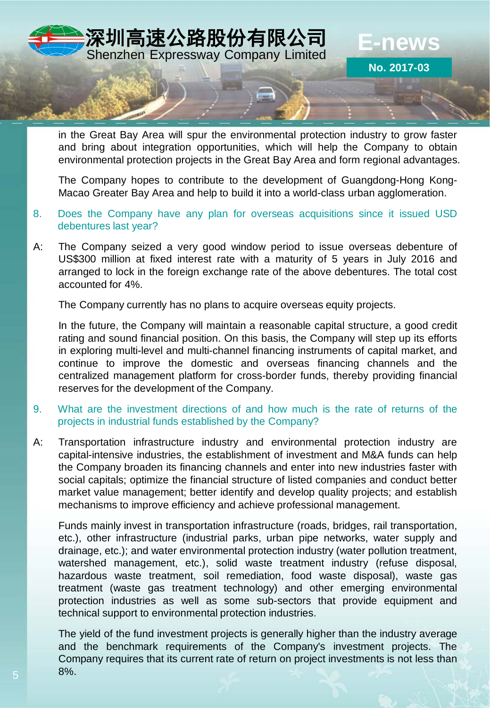

in the Great Bay Area will spur the environmental protection industry to grow faster and bring about integration opportunities, which will help the Company to obtain environmental protection projects in the Great Bay Area and form regional advantages.

The Company hopes to contribute to the development of Guangdong-Hong Kong-Macao Greater Bay Area and help to build it into a world-class urban agglomeration.

- 8. Does the Company have any plan for overseas acquisitions since it issued USD debentures last year?
- A: The Company seized a very good window period to issue overseas debenture of US\$300 million at fixed interest rate with a maturity of 5 years in July 2016 and arranged to lock in the foreign exchange rate of the above debentures. The total cost accounted for 4%.

The Company currently has no plans to acquire overseas equity projects.

In the future, the Company will maintain a reasonable capital structure, a good credit rating and sound financial position. On this basis, the Company will step up its efforts in exploring multi-level and multi-channel financing instruments of capital market, and continue to improve the domestic and overseas financing channels and the centralized management platform for cross-border funds, thereby providing financial reserves for the development of the Company.

- 9. What are the investment directions of and how much is the rate of returns of the projects in industrial funds established by the Company?
- A: Transportation infrastructure industry and environmental protection industry are capital-intensive industries, the establishment of investment and M&A funds can help the Company broaden its financing channels and enter into new industries faster with social capitals; optimize the financial structure of listed companies and conduct better market value management; better identify and develop quality projects; and establish mechanisms to improve efficiency and achieve professional management.

Funds mainly invest in transportation infrastructure (roads, bridges, rail transportation, etc.), other infrastructure (industrial parks, urban pipe networks, water supply and drainage, etc.); and water environmental protection industry (water pollution treatment, watershed management, etc.), solid waste treatment industry (refuse disposal, hazardous waste treatment, soil remediation, food waste disposal), waste gas treatment (waste gas treatment technology) and other emerging environmental protection industries as well as some sub-sectors that provide equipment and technical support to environmental protection industries.

The yield of the fund investment projects is generally higher than the industry average and the benchmark requirements of the Company's investment projects. The Company requires that its current rate of return on project investments is not less than 8%.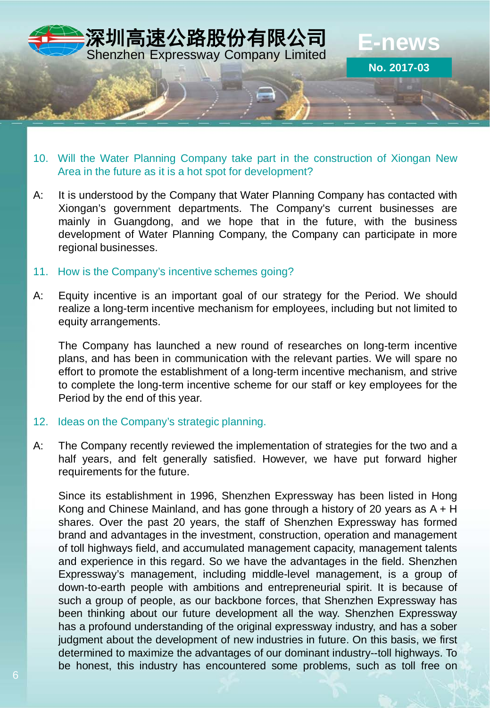

- 10. Will the Water Planning Company take part in the construction of Xiongan New Area in the future as it is a hot spot for development?
- A: It is understood by the Company that Water Planning Company has contacted with Xiongan's government departments. The Company's current businesses are mainly in Guangdong, and we hope that in the future, with the business development of Water Planning Company, the Company can participate in more regional businesses.
- 11. How is the Company's incentive schemes going?
- A: Equity incentive is an important goal of our strategy for the Period. We should realize a long-term incentive mechanism for employees, including but not limited to equity arrangements.

The Company has launched a new round of researches on long-term incentive plans, and has been in communication with the relevant parties. We will spare no effort to promote the establishment of a long-term incentive mechanism, and strive to complete the long-term incentive scheme for our staff or key employees for the Period by the end of this year.

## 12. Ideas on the Company's strategic planning.

A: The Company recently reviewed the implementation of strategies for the two and a half years, and felt generally satisfied. However, we have put forward higher requirements for the future.

Since its establishment in 1996, Shenzhen Expressway has been listed in Hong Kong and Chinese Mainland, and has gone through a history of 20 years as A + H shares. Over the past 20 years, the staff of Shenzhen Expressway has formed brand and advantages in the investment, construction, operation and management of toll highways field, and accumulated management capacity, management talents and experience in this regard. So we have the advantages in the field. Shenzhen Expressway's management, including middle-level management, is a group of down-to-earth people with ambitions and entrepreneurial spirit. It is because of such a group of people, as our backbone forces, that Shenzhen Expressway has been thinking about our future development all the way. Shenzhen Expressway has a profound understanding of the original expressway industry, and has a sober judgment about the development of new industries in future. On this basis, we first determined to maximize the advantages of our dominant industry--toll highways. To be honest, this industry has encountered some problems, such as toll free on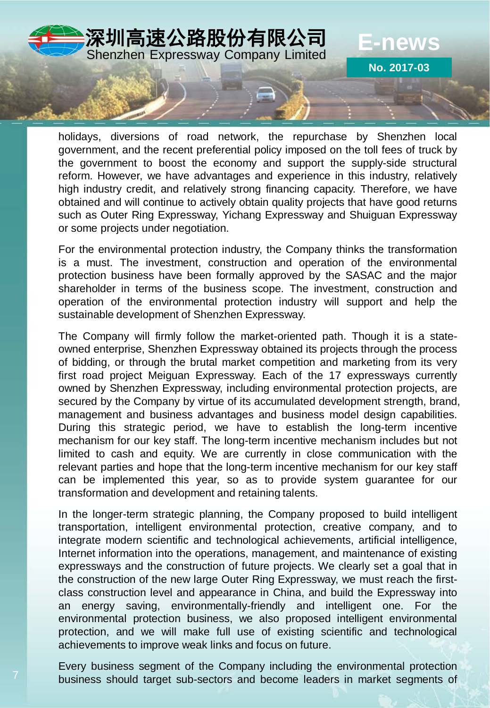

holidays, diversions of road network, the repurchase by Shenzhen local government, and the recent preferential policy imposed on the toll fees of truck by the government to boost the economy and support the supply-side structural reform. However, we have advantages and experience in this industry, relatively high industry credit, and relatively strong financing capacity. Therefore, we have obtained and will continue to actively obtain quality projects that have good returns such as Outer Ring Expressway, Yichang Expressway and Shuiguan Expressway or some projects under negotiation.

For the environmental protection industry, the Company thinks the transformation is a must. The investment, construction and operation of the environmental protection business have been formally approved by the SASAC and the major shareholder in terms of the business scope. The investment, construction and operation of the environmental protection industry will support and help the sustainable development of Shenzhen Expressway.

The Company will firmly follow the market-oriented path. Though it is a stateowned enterprise, Shenzhen Expressway obtained its projects through the process of bidding, or through the brutal market competition and marketing from its very first road project Meiguan Expressway. Each of the 17 expressways currently owned by Shenzhen Expressway, including environmental protection projects, are secured by the Company by virtue of its accumulated development strength, brand, management and business advantages and business model design capabilities. During this strategic period, we have to establish the long-term incentive mechanism for our key staff. The long-term incentive mechanism includes but not limited to cash and equity. We are currently in close communication with the relevant parties and hope that the long-term incentive mechanism for our key staff can be implemented this year, so as to provide system guarantee for our transformation and development and retaining talents.

In the longer-term strategic planning, the Company proposed to build intelligent transportation, intelligent environmental protection, creative company, and to integrate modern scientific and technological achievements, artificial intelligence, Internet information into the operations, management, and maintenance of existing expressways and the construction of future projects. We clearly set a goal that in the construction of the new large Outer Ring Expressway, we must reach the firstclass construction level and appearance in China, and build the Expressway into an energy saving, environmentally-friendly and intelligent one. For the environmental protection business, we also proposed intelligent environmental protection, and we will make full use of existing scientific and technological achievements to improve weak links and focus on future.

Every business segment of the Company including the environmental protection business should target sub-sectors and become leaders in market segments of